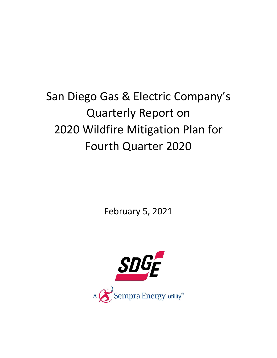# San Diego Gas & Electric Company's Quarterly Report on 2020 Wildfire Mitigation Plan for Fourth Quarter 2020

February 5, 2021

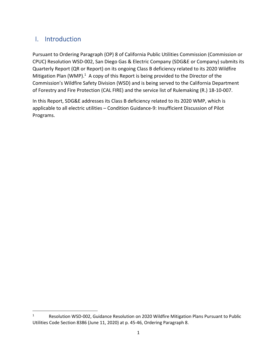## I. Introduction

Pursuant to Ordering Paragraph (OP) 8 of California Public Utilities Commission (Commission or CPUC) Resolution WSD‐002, San Diego Gas & Electric Company (SDG&E or Company) submits its Quarterly Report (QR or Report) on its ongoing Class B deficiency related to its 2020 Wildfire Mitigation Plan (WMP).<sup>1</sup> A copy of this Report is being provided to the Director of the Commission's Wildfire Safety Division (WSD) and is being served to the California Department of Forestry and Fire Protection (CAL FIRE) and the service list of Rulemaking (R.) 18‐10‐007.

In this Report, SDG&E addresses its Class B deficiency related to its 2020 WMP, which is applicable to all electric utilities – Condition Guidance‐9: Insufficient Discussion of Pilot Programs.

<sup>1</sup> Resolution WSD‐002, Guidance Resolution on 2020 Wildfire Mitigation Plans Pursuant to Public Utilities Code Section 8386 (June 11, 2020) at p. 45‐46, Ordering Paragraph 8.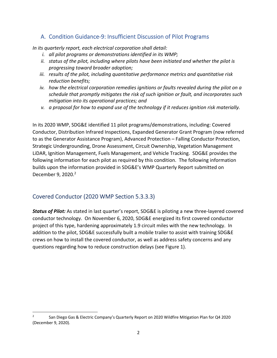## A. Condition Guidance‐9: Insufficient Discussion of Pilot Programs

*In its quarterly report, each electrical corporation shall detail:*

- *i. all pilot programs or demonstrations identified in its WMP;*
- *ii. status of the pilot, including where pilots have been initiated and whether the pilot is progressing toward broader adoption;*
- *iii. results of the pilot, including quantitative performance metrics and quantitative risk reduction benefits;*
- *iv. how the electrical corporation remedies ignitions or faults revealed during the pilot on a schedule that promptly mitigates the risk of such ignition or fault, and incorporates such mitigation into its operational practices; and*
- *v. a proposal for how to expand use of the technology if it reduces ignition risk materially.*

In its 2020 WMP, SDG&E identified 11 pilot programs/demonstrations, including: Covered Conductor, Distribution Infrared Inspections, Expanded Generator Grant Program (now referred to as the Generator Assistance Program), Advanced Protection – Falling Conductor Protection, Strategic Undergrounding, Drone Assessment, Circuit Ownership, Vegetation Management LiDAR, Ignition Management, Fuels Management, and Vehicle Tracking. SDG&E provides the following information for each pilot as required by this condition. The following information builds upon the information provided in SDG&E's WMP Quarterly Report submitted on December 9, 2020.<sup>2</sup>

## Covered Conductor (2020 WMP Section 5.3.3.3)

*Status of Pilot:* As stated in last quarter's report, SDG&E is piloting a new three‐layered covered conductor technology. On November 6, 2020, SDG&E energized its first covered conductor project of this type, hardening approximately 1.9 circuit miles with the new technology. In addition to the pilot, SDG&E successfully built a mobile trailer to assist with training SDG&E crews on how to install the covered conductor, as well as address safety concerns and any questions regarding how to reduce construction delays (see Figure 1).

<sup>2</sup> San Diego Gas & Electric Company's Quarterly Report on 2020 Wildfire Mitigation Plan for Q4 2020 (December 9, 2020).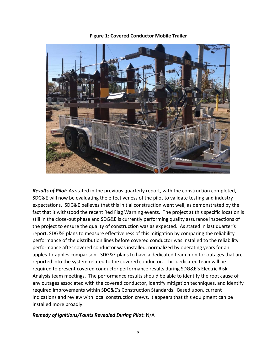

**Figure 1: Covered Conductor Mobile Trailer**

*Results of Pilot***:** As stated in the previous quarterly report, with the construction completed, SDG&E will now be evaluating the effectiveness of the pilot to validate testing and industry expectations. SDG&E believes that this initial construction went well, as demonstrated by the fact that it withstood the recent Red Flag Warning events. The project at this specific location is still in the close‐out phase and SDG&E is currently performing quality assurance inspections of the project to ensure the quality of construction was as expected. As stated in last quarter's report, SDG&E plans to measure effectiveness of this mitigation by comparing the reliability performance of the distribution lines before covered conductor was installed to the reliability performance after covered conductor was installed, normalized by operating years for an apples-to-apples comparison. SDG&E plans to have a dedicated team monitor outages that are reported into the system related to the covered conductor. This dedicated team will be required to present covered conductor performance results during SDG&E's Electric Risk Analysis team meetings. The performance results should be able to identify the root cause of any outages associated with the covered conductor, identify mitigation techniques, and identify required improvements within SDG&E's Construction Standards. Based upon, current indications and review with local construction crews, it appears that this equipment can be installed more broadly.

#### *Remedy of Ignitions/Faults Revealed During Pilot***:** N/A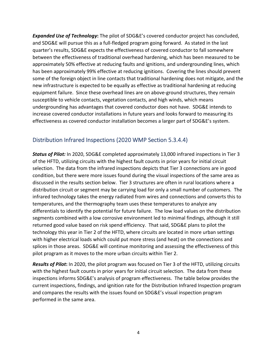*Expanded Use of Technology***:** The pilot of SDG&E's covered conductor project has concluded, and SDG&E will pursue this as a full‐fledged program going forward. As stated in the last quarter's results, SDG&E expects the effectiveness of covered conductor to fall somewhere between the effectiveness of traditional overhead hardening, which has been measured to be approximately 50% effective at reducing faults and ignitions, and undergrounding lines, which has been approximately 99% effective at reducing ignitions. Covering the lines should prevent some of the foreign object in line contacts that traditional hardening does not mitigate, and the new infrastructure is expected to be equally as effective as traditional hardening at reducing equipment failure. Since these overhead lines are on above-ground structures, they remain susceptible to vehicle contacts, vegetation contacts, and high winds, which means undergrounding has advantages that covered conductor does not have. SDG&E intends to increase covered conductor installations in future years and looks forward to measuring its effectiveness as covered conductor installation becomes a larger part of SDG&E's system.

## Distribution Infrared Inspections (2020 WMP Section 5.3.4.4)

*Status of Pilot:* In 2020, SDG&E completed approximately 13,000 infrared inspections in Tier 3 of the HFTD, utilizing circuits with the highest fault counts in prior years for initial circuit selection. The data from the infrared inspections depicts that Tier 3 connections are in good condition, but there were more issues found during the visual inspections of the same area as discussed in the results section below. Tier 3 structures are often in rural locations where a distribution circuit or segment may be carrying load for only a small number of customers. The infrared technology takes the energy radiated from wires and connections and converts this to temperatures, and the thermography team uses these temperatures to analyze any differentials to identify the potential for future failure. The low load values on the distribution segments combined with a low corrosive environment led to minimal findings, although it still returned good value based on risk spend efficiency. That said, SDG&E plans to pilot the technology this year in Tier 2 of the HFTD, where circuits are located in more urban settings with higher electrical loads which could put more stress (and heat) on the connections and splices in those areas. SDG&E will continue monitoring and assessing the effectiveness of this pilot program as it moves to the more urban circuits within Tier 2.

*Results of Pilot***:** In 2020, the pilot program was focused on Tier 3 of the HFTD, utilizing circuits with the highest fault counts in prior years for initial circuit selection. The data from these inspections informs SDG&E's analysis of program effectiveness. The table below provides the current inspections, findings, and ignition rate for the Distribution Infrared Inspection program and compares the results with the issues found on SDG&E's visual inspection program performed in the same area.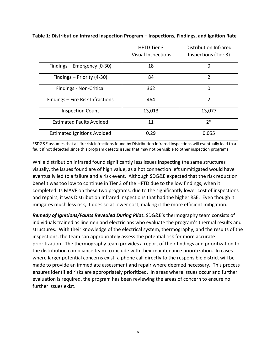|                                    | <b>HFTD Tier 3</b><br><b>Visual Inspections</b> | Distribution Infrared<br>Inspections (Tier 3) |
|------------------------------------|-------------------------------------------------|-----------------------------------------------|
| Findings – Emergency (0-30)        | 18                                              | 0                                             |
| Findings - Priority (4-30)         | 84                                              | $\mathcal{P}$                                 |
| Findings - Non-Critical            | 362                                             | 0                                             |
| Findings - Fire Risk Infractions   | 464                                             | $\overline{2}$                                |
| <b>Inspection Count</b>            | 13,013                                          | 13,077                                        |
| <b>Estimated Faults Avoided</b>    | 11                                              | $2*$                                          |
| <b>Estimated Ignitions Avoided</b> | 0.29                                            | 0.055                                         |

**Table 1: Distribution Infrared Inspection Program – Inspections, Findings, and Ignition Rate**

\*SDG&E assumes that all fire risk infractions found by Distribution Infrared inspections will eventually lead to a fault if not detected since this program detects issues that may not be visible to other inspection programs.

While distribution infrared found significantly less issues inspecting the same structures visually, the issues found are of high value, as a hot connection left unmitigated would have eventually led to a failure and a risk event. Although SDG&E expected that the risk reduction benefit was too low to continue in Tier 3 of the HFTD due to the low findings, when it completed its MAVF on these two programs, due to the significantly lower cost of inspections and repairs, it was Distribution Infrared inspections that had the higher RSE. Even though it mitigates much less risk, it does so at lower cost, making it the more efficient mitigation.

*Remedy of Ignitions/Faults Revealed During Pilot***:** SDG&E's thermography team consists of individuals trained as linemen and electricians who evaluate the program's thermal results and structures. With their knowledge of the electrical system, thermography, and the results of the inspections, the team can appropriately assess the potential risk for more accurate prioritization. The thermography team provides a report of their findings and prioritization to the distribution compliance team to include with their maintenance prioritization. In cases where larger potential concerns exist, a phone call directly to the responsible district will be made to provide an immediate assessment and repair where deemed necessary. This process ensures identified risks are appropriately prioritized. In areas where issues occur and further evaluation is required, the program has been reviewing the areas of concern to ensure no further issues exist.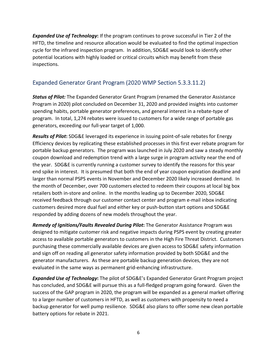*Expanded Use of Technology***:** If the program continues to prove successful in Tier 2 of the HFTD, the timeline and resource allocation would be evaluated to find the optimal inspection cycle for the infrared inspection program. In addition, SDG&E would look to identify other potential locations with highly loaded or critical circuits which may benefit from these inspections.

## Expanded Generator Grant Program (2020 WMP Section 5.3.3.11.2)

*Status of Pilot:* The Expanded Generator Grant Program (renamed the Generator Assistance Program in 2020) pilot concluded on December 31, 2020 and provided insights into customer spending habits, portable generator preferences, and general interest in a rebate‐type of program. In total, 1,274 rebates were issued to customers for a wide range of portable gas generators, exceeding our full‐year target of 1,000.

*Results of Pilot***:** SDG&E leveraged its experience in issuing point‐of‐sale rebates for Energy Efficiency devices by replicating these established processes in this first ever rebate program for portable backup generators. The program was launched in July 2020 and saw a steady monthly coupon download and redemption trend with a large surge in program activity near the end of the year. SDG&E is currently running a customer survey to identify the reasons for this year end spike in interest. It is presumed that both the end of year coupon expiration deadline and larger than normal PSPS events in November and December 2020 likely increased demand. In the month of December, over 700 customers elected to redeem their coupons at local big box retailers both in‐store and online. In the months leading up to December 2020, SDG&E received feedback through our customer contact center and program e‐mail inbox indicating customers desired more dual fuel and either key or push‐button start options and SDG&E responded by adding dozens of new models throughout the year.

*Remedy of Ignitions/Faults Revealed During Pilot***:** The Generator Assistance Program was designed to mitigate customer risk and negative impacts during PSPS event by creating greater access to available portable generators to customers in the High Fire Threat District. Customers purchasing these commercially available devices are given access to SDG&E safety information and sign off on reading all generator safety information provided by both SDG&E and the generator manufacturers. As these are portable backup generation devices, they are not evaluated in the same ways as permanent grid‐enhancing infrastructure.

*Expanded Use of Technology***:** The pilot of SDG&E's Expanded Generator Grant Program project has concluded, and SDG&E will pursue this as a full-fledged program going forward. Given the success of the GAP program in 2020, the program will be expanded as a general market offering to a larger number of customers in HFTD, as well as customers with propensity to need a backup generator for well pump resilience. SDG&E also plans to offer some new clean portable battery options for rebate in 2021.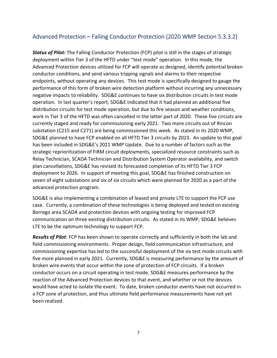## Advanced Protection – Falling Conductor Protection (2020 WMP Section 5.3.3.2)

*Status of Pilot:* The Falling Conductor Protection (FCP) pilot is still in the stages of strategic deployment within Tier 3 of the HFTD under "test mode" operation. In this mode, the Advanced Protection devices utilized for FCP will operate as designed, identify potential broken conductor conditions, and send various tripping signals and alarms to their respective endpoints, without operating any devices. This test mode is specifically designed to gauge the performance of this form of broken wire detection platform without incurring any unnecessary negative impacts to reliability. SDG&E continues to have six distribution circuits in test mode operation. In last quarter's report, SDG&E indicated that it had planned an additional five distribution circuits for test mode operation, but due to fire season and weather conditions, work in Tier 3 of the HFTD was often cancelled in the latter part of 2020. These five circuits are currently staged and ready for commissioning early 2021. Two more circuits out of Rincon substation (C215 and C271) are being commissioned this week. As stated in its 2020 WMP, SDG&E planned to have FCP enabled on all HFTD Tier 3 circuits by 2023. An update to this goal has been included in SDG&E's 2021 WMP Update. Due to a number of factors such as the strategic reprioritization of FiRM circuit deployments, specialized resource constraints such as Relay Technician, SCADA Technician and Distribution System Operator availability, and switch plan cancellations, SDG&E has revised its forecasted completion of its HFTD Tier 3 FCP deployment to 2026. In support of meeting this goal, SDG&E has finished construction on seven of eight substations and six of six circuits which were planned for 2020 as a part of the advanced protection program.

SDG&E is also implementing a combination of leased and private LTE to support the FCP use case. Currently, a combination of these technologies is being deployed and tested on existing Borrego area SCADA and protection devices with ongoing testing for improved FCP communication on three existing distribution circuits. As stated in its WMP, SDG&E believes LTE to be the optimum technology to support FCP.

*Results of Pilot*: FCP has been shown to operate correctly and sufficiently in both the lab and field commissioning environments. Proper design, field communication infrastructure, and commissioning expertise has led to the successful deployment of the six test mode circuits with five more planned in early 2021. Currently, SDG&E is measuring performance by the amount of broken wire events that occur within the zone of protection of FCP circuits. If a broken conductor occurs on a circuit operating in test mode, SDG&E measures performance by the reaction of the Advanced Protection devices to that event, and whether or not the devices would have acted to isolate the event. To date, broken conductor events have not occurred in a FCP zone of protection, and thus ultimate field performance measurements have not yet been realized.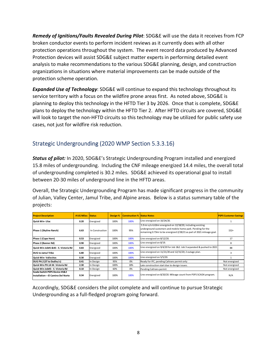*Remedy of Ignitions/Faults Revealed During Pilot*: SDG&E will use the data it receives from FCP broken conductor events to perform incident reviews as it currently does with all other protection operations throughout the system. The event record data produced by Advanced Protection devices will assist SDG&E subject matter experts in performing detailed event analysis to make recommendations to the various SDG&E planning, design, and construction organizations in situations where material improvements can be made outside of the protection scheme operation.

*Expanded Use of Technology*: SDG&E will continue to expand this technology throughout its service territory with a focus on the wildfire prone areas first. As noted above, SDG&E is planning to deploy this technology in the HFTD Tier 3 by 2026. Once that is complete, SDG&E plans to deploy the technology within the HFTD Tier 2. After HFTD circuits are covered, SDG&E will look to target the non-HFTD circuits so this technology may be utilized for public safety use cases, not just for wildfire risk reduction.

## Strategic Undergrounding (2020 WMP Section 5.3.3.16)

*Status of pilot:* In 2020, SDG&E's Strategic Undergrounding Program installed and energized 15.8 miles of undergrounding. Including the CNF mileage energized 14.4 miles, the overall total of undergrounding completed is 30.2 miles. SDG&E achieved its operational goal to install between 20‐30 miles of underground line in the HFTD areas.

Overall, the Strategic Undergrounding Program has made significant progress in the community of Julian, Valley Center, Jamul Tribe, and Alpine areas. Below is a status summary table of the projects:

| <b>Project Description</b>                                          | # UG Miles Status |                 |      | <b>Design %   Construction %   Status Notes</b> |                                                                                                                                                                                                      | <b>PSPS Customer Savings</b> |
|---------------------------------------------------------------------|-------------------|-----------------|------|-------------------------------------------------|------------------------------------------------------------------------------------------------------------------------------------------------------------------------------------------------------|------------------------------|
| <b>Quick Win-Lilac</b>                                              | 0.20              | Energized       | 100% | 100%                                            | Line energized on 10/24/20.                                                                                                                                                                          |                              |
| Phase 1 (Skyline Ranch)                                             | 6.63              | In Construction | 100% | 95%                                             | 5.9 mi o/o 6.63mi energzied on 12/18/20, including existing<br>underground customers and mobile home park. Pending for the<br>remaining 0.73mi to be energized 2/28/21 as part of 2021 mileage goal. | $152+$                       |
| Phase 1 (Cape Horn)                                                 | 0.53              | Energized       | 100% | 100%                                            | Line energized on 8/12/20.                                                                                                                                                                           | 17                           |
| Phase 2 (Banner Rd)                                                 | 0.90              | Energized       | 100% | 100%                                            | Line energized on 8/19.                                                                                                                                                                              | 8                            |
| Quick Win Job#1 -- E. Victoria Rd                                  | 0.83              | Energized       | 100% | 100%                                            | Line energized on 9/4/20 for Job 1&2. Job 3 separated & pushed to 2021                                                                                                                               | 88                           |
| <b>DUG to Jamul Tribe</b>                                           | 6.80              | Energized       | 100% | 100%                                            | Line energized on 11/21/20 and 12/15/20; 2 outage plan.                                                                                                                                              |                              |
| <b>Quick Win- Vallecitos</b>                                        | 0.30              | Energized       | 100% | 100%                                            | Line energized on 5/5/20.                                                                                                                                                                            |                              |
| DUG PH.2 (ST to Dudley's)                                           | 0.41              | In Design       | 95%  | 0%                                              | Ready for IFC, pending Caltrans permit only                                                                                                                                                          | Not energized                |
| Quick Win PH.1A W. Victoria Rd                                      | 2.30              | In Design       | 100% | 18%                                             | Late construction start due to design issues.                                                                                                                                                        | Not energized                |
| Quick Win Job#3-- E. Victoria Rd                                    | 0.10              | In Design       | 60%  | 0%                                              | Pending Caltrans permit                                                                                                                                                                              | Not energized                |
| Scada Switch PSPS Device #1&2<br>Installation---El Camino Del Norte | 0.34              | Energized       | 100% | 100%                                            | Line energized on 8/20/20. Mileage count from PSPS SCADA program.                                                                                                                                    | N/A                          |

Accordingly, SDG&E considers the pilot complete and will continue to pursue Strategic Undergrounding as a full‐fledged program going forward.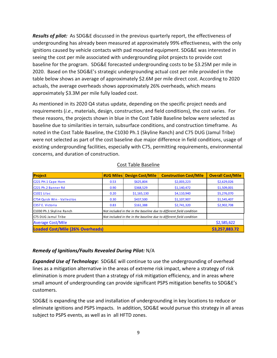*Results of pilot:* As SDG&E discussed in the previous quarterly report, the effectiveness of undergrounding has already been measured at approximately 99% effectiveness, with the only ignitions caused by vehicle contacts with pad mounted equipment. SDG&E was interested in seeing the cost per mile associated with undergrounding pilot projects to provide cost baseline for the program. SDG&E forecasted undergrounding costs to be \$3.25M per mile in 2020. Based on the SDG&E's strategic undergrounding actual cost per mile provided in the table below shows an average of approximately \$2.6M per mile direct cost. According to 2020 actuals, the average overheads shows approximately 26% overheads, which means approximately \$3.3M per mile fully loaded cost.

As mentioned in its 2020 Q4 status update, depending on the specific project needs and requirements (*i.e*., materials, design, construction, and field conditions), the cost varies. For these reasons, the projects shown in blue in the Cost Table Baseline below were selected as baseline due to similarities in terrain, subsurface conditions, and construction timeframe. As noted in the Cost Table Baseline, the C1030 Ph.1 (Skyline Ranch) and C75 DUG (Jamul Tribe) were not selected as part of the cost baseline due major difference in field conditions, usage of existing undergrounding facilities, especially with C75, permitting requirements, environmental concerns, and duration of construction.

| <b>Project</b>                              | #UG Miles                                                            | <b>Design Cost/Mile</b> | <b>Construction Cost/Mile</b> | <b>Overall Cost/Mile</b> |
|---------------------------------------------|----------------------------------------------------------------------|-------------------------|-------------------------------|--------------------------|
| C221 PH.1 Cape Horn                         | 0.53                                                                 | \$625,804               | \$2,003,223                   | \$2,629,026              |
| C <sub>221</sub> Ph. <sub>2</sub> Banner Rd | 0.90                                                                 | \$368,529               | \$1,140,472                   | \$1,509,001              |
| C1021 Lilac                                 | 0.20                                                                 | \$1,165,130             | \$4,110,940                   | \$5,276,070              |
| C754 Quick Win - Vallecitos                 | 0.30                                                                 | \$437,500               | \$1,107,907                   | \$1,545,407              |
| C357 E. Victoria                            | 0.83                                                                 | \$161,388               | \$2,741,320                   | \$2,902,708              |
| C1030 Ph.1 Skyline Ranch                    | Not included in the in the baseline due to different field condition |                         |                               |                          |
| C75 DUG Jamul Tribe                         | Not included in the in the baseline due to different field condition |                         |                               |                          |
| <b>Average Cost/Mile</b>                    |                                                                      |                         |                               | \$2,585,622              |
| <b>Loaded Cost/Mile (26% Overheads)</b>     | \$3,257,883.72                                                       |                         |                               |                          |

#### Cost Table Baseline

#### *Remedy of Ignitions/Faults Revealed During Pilot:* N/A

*Expanded Use of Technology***:** SDG&E will continue to use the undergrounding of overhead lines as a mitigation alternative in the areas of extreme risk impact, where a strategy of risk elimination is more prudent than a strategy of risk mitigation efficiency, and in areas where small amount of undergrounding can provide significant PSPS mitigation benefits to SDG&E's customers.

SDG&E is expanding the use and installation of undergrounding in key locations to reduce or eliminate ignitions and PSPS impacts. In addition, SDG&E would pursue this strategy in all areas subject to PSPS events, as well as in all HFTD zones.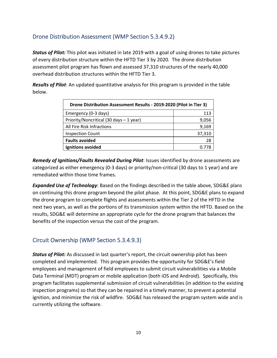## Drone Distribution Assessment (WMP Section 5.3.4.9.2)

*Status of Pilot:* This pilot was initiated in late 2019 with a goal of using drones to take pictures of every distribution structure within the HFTD Tier 3 by 2020. The drone distribution assessment pilot program has flown and assessed 37,310 structures of the nearly 40,000 overhead distribution structures within the HFTD Tier 3.

*Results of Pilot*: An updated quantitative analysis for this program is provided in the table below.

| Drone Distribution Assessment Results - 2019-2020 (Pilot in Tier 3) |        |  |  |  |  |
|---------------------------------------------------------------------|--------|--|--|--|--|
| Emergency (0-3 days)                                                | 113    |  |  |  |  |
| Priority/Noncritical (30 days - 1 year)                             | 9,056  |  |  |  |  |
| All Fire Risk Infractions                                           | 9,169  |  |  |  |  |
| <b>Inspection Count</b>                                             | 37,310 |  |  |  |  |
| <b>Faults avoided</b>                                               | 28     |  |  |  |  |
| Ignitions avoided                                                   |        |  |  |  |  |

*Remedy of Ignitions/Faults Revealed During Pilot*: Issues identified by drone assessments are categorized as either emergency (0‐3 days) or priority/non‐critical (30 days to 1 year) and are remediated within those time frames.

*Expanded Use of Technology*: Based on the findings described in the table above, SDG&E plans on continuing this drone program beyond the pilot phase. At this point, SDG&E plans to expand the drone program to complete flights and assessments within the Tier 2 of the HFTD in the next two years, as well as the portions of its transmission system within the HFTD. Based on the results, SDG&E will determine an appropriate cycle for the drone program that balances the benefits of the inspection versus the cost of the program.

## Circuit Ownership (WMP Section 5.3.4.9.3)

*Status of Pilot:* As discussed in last quarter's report, the circuit ownership pilot has been completed and implemented. This program provides the opportunity for SDG&E's field employees and management of field employees to submit circuit vulnerabilities via a Mobile Data Terminal (MDT) program or mobile application (both iOS and Android). Specifically, this program facilitates supplemental submission of circuit vulnerabilities (in addition to the existing inspection programs) so that they can be repaired in a timely manner, to prevent a potential ignition, and minimize the risk of wildfire. SDG&E has released the program system wide and is currently utilizing the software.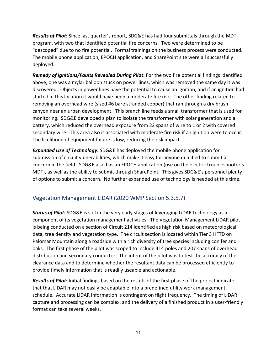*Results of Pilot***:** Since last quarter's report, SDG&E has had four submittals through the MDT program, with two that identified potential fire concerns. Two were determined to be "descoped" due to no fire potential. Formal trainings on the business process were conducted. The mobile phone application, EPOCH application, and SharePoint site were all successfully deployed.

*Remedy of Ignitions/Faults Revealed During Pilot***:** For the two fire potential findings identified above, one was a mylar balloon stuck on power lines, which was removed the same day it was discovered. Objects in power lines have the potential to cause an ignition, and if an ignition had started in this location it would have been a moderate fire risk. The other finding related to removing an overhead wire (sized #6 bare stranded copper) that ran through a dry brush canyon near an urban development. This branch line feeds a small transformer that is used for monitoring. SDG&E developed a plan to isolate the transformer with solar generation and a battery, which reduced the overhead exposure from 22 spans of wire to 1 or 2 with covered secondary wire. This area also is associated with moderate fire risk if an ignition were to occur. The likelihood of equipment failure is low, reducing the risk impact.

*Expanded Use of Technology***:** SDG&E has deployed the mobile phone application for submission of circuit vulnerabilities, which make it easy for anyone qualified to submit a concern in the field. SDG&E also has an EPOCH application (use on the electric troubleshooter's MDT), as well as the ability to submit through SharePoint. This gives SDG&E's personnel plenty of options to submit a concern. No further expanded use of technology is needed at this time.

## Vegetation Management LiDAR (2020 WMP Section 5.3.5.7)

*Status of Pilot:* SDG&E is still in the very early stages of leveraging LiDAR technology as a component of its vegetation management activities. The Vegetation Management LiDAR pilot is being conducted on a section of Circuit 214 identified as high risk based on meteorological data, tree density and vegetation type. The circuit section is located within Tier 3 HFTD on Palomar Mountain along a roadside with a rich diversity of tree species including conifer and oaks. The first phase of the pilot was scoped to include 414 poles and 207 spans of overhead distribution and secondary conductor. The intent of the pilot was to test the accuracy of the clearance data and to determine whether the resultant data can be processed efficiently to provide timely information that is readily useable and actionable.

*Results of Pilot***:** Initial findings based on the results of the first phase of the project indicate that that LiDAR may not easily be adaptable into a predefined utility work management schedule. Accurate LiDAR information is contingent on flight frequency. The timing of LiDAR capture and processing can be complex, and the delivery of a finished product in a user‐friendly format can take several weeks.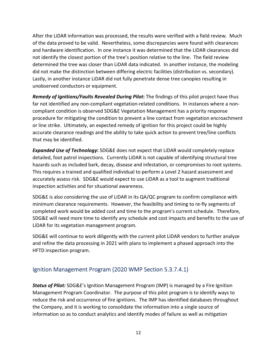After the LiDAR information was processed, the results were verified with a field review. Much of the data proved to be valid. Nevertheless, some discrepancies were found with clearances and hardware identification. In one instance it was determined that the LiDAR clearances did not identify the closest portion of the tree's position relative to the line. The field review determined the tree was closer than LiDAR data indicated. In another instance, the modeling did not make the distinction between differing electric facilities (distribution vs. secondary). Lastly, in another instance LiDAR did not fully penetrate dense tree canopies resulting in unobserved conductors or equipment.

*Remedy of Ignitions/Faults Revealed During Pilot***:** The findings of this pilot project have thus far not identified any non-compliant vegetation-related conditions. In instances where a noncompliant condition is observed SDG&E Vegetation Management has a priority response procedure for mitigating the condition to prevent a line contact from vegetation encroachment or line strike. Ultimately, an expected remedy of ignition for this project could be highly accurate clearance readings and the ability to take quick action to prevent tree/line conflicts that may be identified.

*Expanded Use of Technology***:** SDG&E does not expect that LiDAR would completely replace detailed, foot patrol inspections. Currently LiDAR is not capable of identifying structural tree hazards such as included bark, decay, disease and infestation, or compromises to root systems. This requires a trained and qualified individual to perform a Level 2 hazard assessment and accurately assess risk. SDG&E would expect to use LiDAR as a tool to augment traditional inspection activities and for situational awareness.

SDG&E is also considering the use of LiDAR in its QA/QC program to confirm compliance with minimum clearance requirements. However, the feasibility and timing to re‐fly segments of completed work would be added cost and time to the program's current schedule. Therefore, SDG&E will need more time to identify any schedule and cost impacts and benefits to the use of LiDAR for its vegetation management program.

SDG&E will continue to work diligently with the current pilot LiDAR vendors to further analyze and refine the data processing in 2021 with plans to implement a phased approach into the HFTD inspection program.

## Ignition Management Program (2020 WMP Section 5.3.7.4.1)

*Status of Pilot:* SDG&E's Ignition Management Program (IMP) is managed by a Fire Ignition Management Program Coordinator. The purpose of this pilot program is to identify ways to reduce the risk and occurrence of fire ignitions. The IMP has identified databases throughout the Company, and it is working to consolidate the information into a single source of information so as to conduct analytics and identify modes of failure as well as mitigation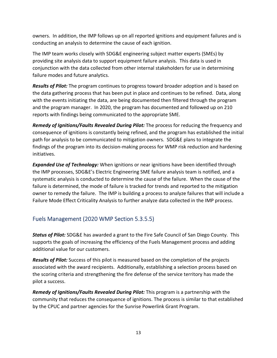owners. In addition, the IMP follows up on all reported ignitions and equipment failures and is conducting an analysis to determine the cause of each ignition.

The IMP team works closely with SDG&E engineering subject matter experts (SMEs) by providing site analysis data to support equipment failure analysis. This data is used in conjunction with the data collected from other internal stakeholders for use in determining failure modes and future analytics.

*Results of Pilot:* The program continues to progress toward broader adoption and is based on the data gathering process that has been put in place and continues to be refined. Data, along with the events initiating the data, are being documented then filtered through the program and the program manager. In 2020, the program has documented and followed up on 210 reports with findings being communicated to the appropriate SME.

*Remedy of Ignitions/Faults Revealed During Pilot:* The process for reducing the frequency and consequence of ignitions is constantly being refined, and the program has established the initial path for analysis to be communicated to mitigation owners. SDG&E plans to integrate the findings of the program into its decision-making process for WMP risk reduction and hardening initiatives.

*Expanded Use of Technology:* When ignitions or near ignitions have been identified through the IMP processes, SDG&E's Electric Engineering SME failure analysis team is notified, and a systematic analysis is conducted to determine the cause of the failure. When the cause of the failure is determined, the mode of failure is tracked for trends and reported to the mitigation owner to remedy the failure. The IMP is building a process to analyze failures that will include a Failure Mode Effect Criticality Analysis to further analyze data collected in the IMP process.

## Fuels Management (2020 WMP Section 5.3.5.5)

*Status of Pilot:* SDG&E has awarded a grant to the Fire Safe Council of San Diego County. This supports the goals of increasing the efficiency of the Fuels Management process and adding additional value for our customers.

*Results of Pilot:* Success of this pilot is measured based on the completion of the projects associated with the award recipients. Additionally, establishing a selection process based on the scoring criteria and strengthening the fire defense of the service territory has made the pilot a success.

*Remedy of Ignitions/Faults Revealed During Pilot:* This program is a partnership with the community that reduces the consequence of ignitions. The process is similar to that established by the CPUC and partner agencies for the Sunrise Powerlink Grant Program.